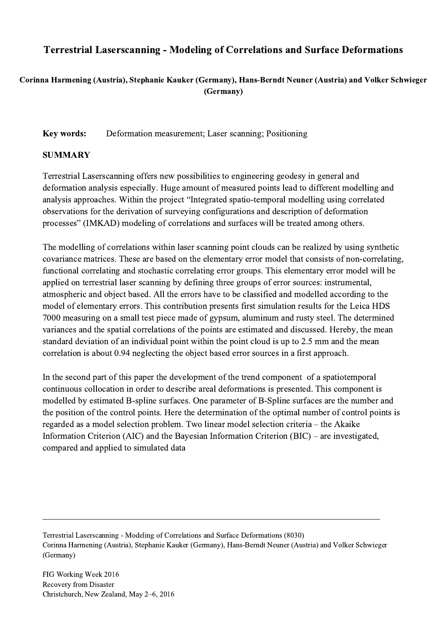## Terrestrial Laserscanning - Modeling of Correlations and Surface Deformations

## Corinna Harmening (Austria), Stephanie Kauker (Germany), Hans-Berndt Neuner (Austria) and Volker Schwieger (Germany)

## Key words: Deformation measurement; Laser scanning; Positioning

## SUMMARY

Terrestrial Laserscanning offers new possibilities to engineering geodesy in general and deformation analysis especially. Huge amount of measured points lead to different modelling and analysis approaches. Within the project "Integrated spatio-temporal modelling using correlated observations for the derivation of surveying configurations and description of deformation processes" (IMKAD) modeling of correlations and surfaces will be treated among others.

The modelling of correlations within laser scanning point clouds can be realized by using synthetic covariance matrices. These are based on the elementary error model that consists of non-correlating, functional correlating and stochastic correlating error groups. This elementary error model will be applied on terrestrial laser scanning by defining three groups of error sources: instrumental, atmospheric and object based. All the errors have to be classified and modelled according to the model of elementary errors. This contribution presents first simulation results for the Leica HDS 7000 measuring on a small test piece made of gypsum, aluminum and rusty steel. The determined variances and the spatial correlations of the points are estimated and discussed. Hereby, the mean standard deviation of an individual point within the point cloud is up to 2.5 mm and the mean correlation is about 0.94 neglecting the object based error sources in a first approach.

In the second part of this paper the development of the trend component of a spatiotemporal continuous collocation in order to describe areal deformations is presented. This component is modelled by estimated B-spline surfaces. One parameter of B-Spline surfaces are the number and the position of the control points. Here the determination of the optimal number of control points is regarded as a model selection problem. Two linear model selection criteria – the Akaike Information Criterion (AIC) and the Bayesian Information Criterion (BIC) – are investigated, compared and applied to simulated data

Terrestrial Laserscanning - Modeling of Correlations and Surface Deformations (8030) Corinna Harmening (Austria), Stephanie Kauker (Germany), Hans-Berndt Neuner (Austria) and Volker Schwieger (Germany)

 $\mathcal{L}_\mathcal{L} = \{ \mathcal{L}_\mathcal{L} = \{ \mathcal{L}_\mathcal{L} = \{ \mathcal{L}_\mathcal{L} = \{ \mathcal{L}_\mathcal{L} = \{ \mathcal{L}_\mathcal{L} = \{ \mathcal{L}_\mathcal{L} = \{ \mathcal{L}_\mathcal{L} = \{ \mathcal{L}_\mathcal{L} = \{ \mathcal{L}_\mathcal{L} = \{ \mathcal{L}_\mathcal{L} = \{ \mathcal{L}_\mathcal{L} = \{ \mathcal{L}_\mathcal{L} = \{ \mathcal{L}_\mathcal{L} = \{ \mathcal{L}_\mathcal{$ 

FIG Working Week 2016 Recovery from Disaster Christchurch, New Zealand, May 2–6, 2016